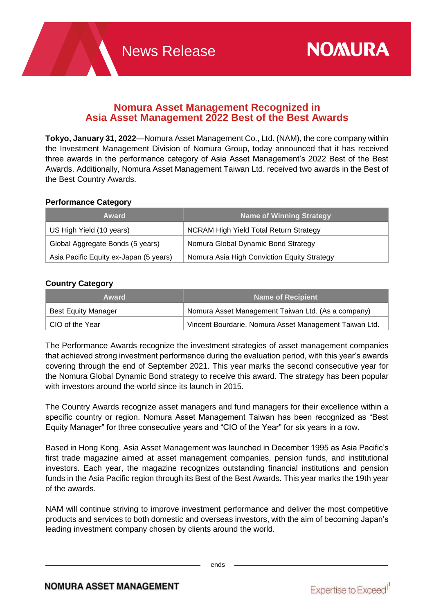# **Nomura Asset Management Recognized in Asia Asset Management 2022 Best of the Best Awards**

**Tokyo, January 31, 2022**—Nomura Asset Management Co., Ltd. (NAM), the core company within the Investment Management Division of Nomura Group, today announced that it has received three awards in the performance category of Asia Asset Management's 2022 Best of the Best Awards. Additionally, Nomura Asset Management Taiwan Ltd. received two awards in the Best of the Best Country Awards.

# **Performance Category**

| Award                                  | <b>Name of Winning Strategy</b>             |
|----------------------------------------|---------------------------------------------|
| US High Yield (10 years)               | NCRAM High Yield Total Return Strategy      |
| Global Aggregate Bonds (5 years)       | Nomura Global Dynamic Bond Strategy         |
| Asia Pacific Equity ex-Japan (5 years) | Nomura Asia High Conviction Equity Strategy |

## **Country Category**

| Award                      | Name of Recipient                                      |
|----------------------------|--------------------------------------------------------|
| <b>Best Equity Manager</b> | Nomura Asset Management Taiwan Ltd. (As a company)     |
| ∣ CIO of the Year          | Vincent Bourdarie, Nomura Asset Management Taiwan Ltd. |

The Performance Awards recognize the investment strategies of asset management companies that achieved strong investment performance during the evaluation period, with this year's awards covering through the end of September 2021. This year marks the second consecutive year for the Nomura Global Dynamic Bond strategy to receive this award. The strategy has been popular with investors around the world since its launch in 2015.

The Country Awards recognize asset managers and fund managers for their excellence within a specific country or region. Nomura Asset Management Taiwan has been recognized as "Best Equity Manager" for three consecutive years and "CIO of the Year" for six years in a row.

Based in Hong Kong, Asia Asset Management was launched in December 1995 as Asia Pacific's first trade magazine aimed at asset management companies, pension funds, and institutional investors. Each year, the magazine recognizes outstanding financial institutions and pension funds in the Asia Pacific region through its Best of the Best Awards. This year marks the 19th year of the awards.

NAM will continue striving to improve investment performance and deliver the most competitive products and services to both domestic and overseas investors, with the aim of becoming Japan's leading investment company chosen by clients around the world.

ends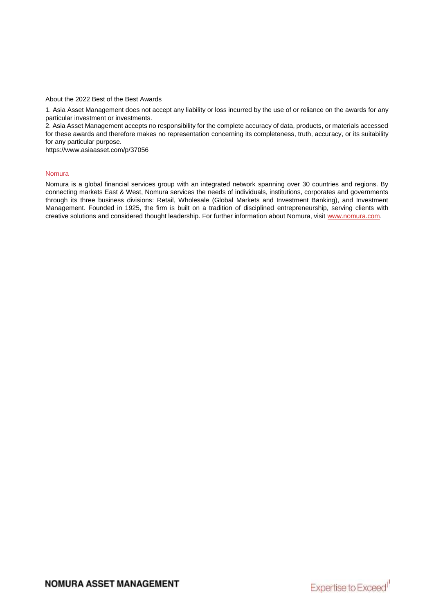About the 2022 Best of the Best Awards

1. Asia Asset Management does not accept any liability or loss incurred by the use of or reliance on the awards for any particular investment or investments.

2. Asia Asset Management accepts no responsibility for the complete accuracy of data, products, or materials accessed for these awards and therefore makes no representation concerning its completeness, truth, accuracy, or its suitability for any particular purpose.

https://www.asiaasset.com/p/37056

#### Nomura

Nomura is a global financial services group with an integrated network spanning over 30 countries and regions. By connecting markets East & West, Nomura services the needs of individuals, institutions, corporates and governments through its three business divisions: Retail, Wholesale (Global Markets and Investment Banking), and Investment Management. Founded in 1925, the firm is built on a tradition of disciplined entrepreneurship, serving clients with creative solutions and considered thought leadership. For further information about Nomura, visit [www.nomura.com.](https://www.nomura.com/)